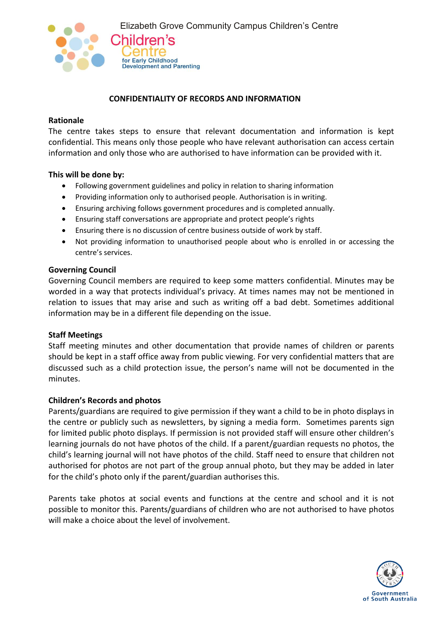

## **CONFIDENTIALITY OF RECORDS AND INFORMATION**

#### **Rationale**

The centre takes steps to ensure that relevant documentation and information is kept confidential. This means only those people who have relevant authorisation can access certain information and only those who are authorised to have information can be provided with it.

#### **This will be done by:**

- Following government guidelines and policy in relation to sharing information
- Providing information only to authorised people. Authorisation is in writing.
- Ensuring archiving follows government procedures and is completed annually.
- Ensuring staff conversations are appropriate and protect people's rights
- Ensuring there is no discussion of centre business outside of work by staff.
- Not providing information to unauthorised people about who is enrolled in or accessing the centre's services.

#### **Governing Council**

Governing Council members are required to keep some matters confidential. Minutes may be worded in a way that protects individual's privacy. At times names may not be mentioned in relation to issues that may arise and such as writing off a bad debt. Sometimes additional information may be in a different file depending on the issue.

### **Staff Meetings**

Staff meeting minutes and other documentation that provide names of children or parents should be kept in a staff office away from public viewing. For very confidential matters that are discussed such as a child protection issue, the person's name will not be documented in the minutes.

### **Children's Records and photos**

Parents/guardians are required to give permission if they want a child to be in photo displays in the centre or publicly such as newsletters, by signing a media form. Sometimes parents sign for limited public photo displays. If permission is not provided staff will ensure other children's learning journals do not have photos of the child. If a parent/guardian requests no photos, the child's learning journal will not have photos of the child. Staff need to ensure that children not authorised for photos are not part of the group annual photo, but they may be added in later for the child's photo only if the parent/guardian authorises this.

Parents take photos at social events and functions at the centre and school and it is not possible to monitor this. Parents/guardians of children who are not authorised to have photos will make a choice about the level of involvement.